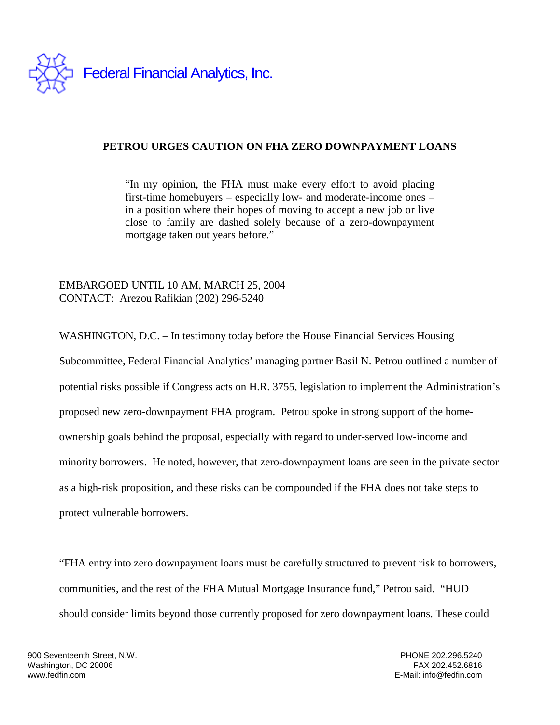

## **PETROU URGES CAUTION ON FHA ZERO DOWNPAYMENT LOANS**

"In my opinion, the FHA must make every effort to avoid placing first-time homebuyers – especially low- and moderate-income ones – in a position where their hopes of moving to accept a new job or live close to family are dashed solely because of a zero-downpayment mortgage taken out years before."

EMBARGOED UNTIL 10 AM, MARCH 25, 2004 CONTACT: Arezou Rafikian (202) 296-5240

WASHINGTON, D.C. – In testimony today before the House Financial Services Housing Subcommittee, Federal Financial Analytics' managing partner Basil N. Petrou outlined a number of potential risks possible if Congress acts on H.R. 3755, legislation to implement the Administration's proposed new zero-downpayment FHA program. Petrou spoke in strong support of the homeownership goals behind the proposal, especially with regard to under-served low-income and minority borrowers. He noted, however, that zero-downpayment loans are seen in the private sector as a high-risk proposition, and these risks can be compounded if the FHA does not take steps to protect vulnerable borrowers.

"FHA entry into zero downpayment loans must be carefully structured to prevent risk to borrowers, communities, and the rest of the FHA Mutual Mortgage Insurance fund," Petrou said. "HUD should consider limits beyond those currently proposed for zero downpayment loans. These could